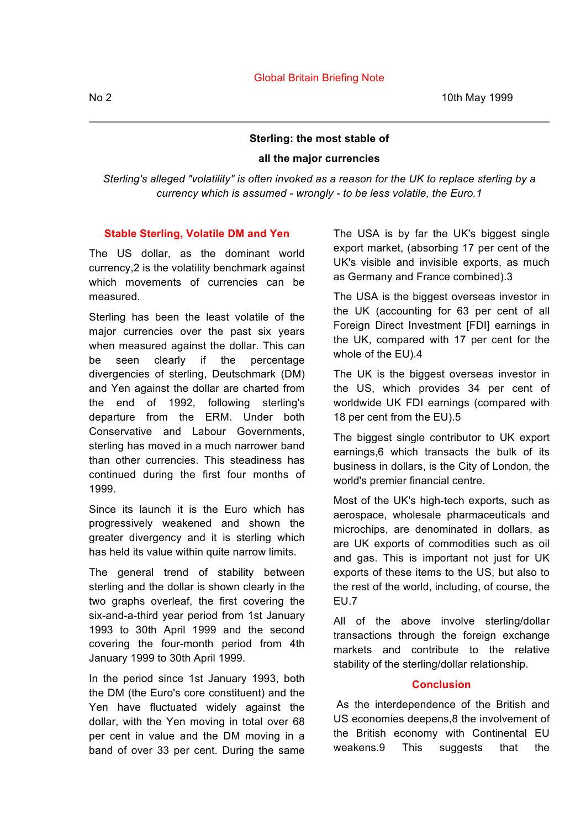No 2 10th May 1999

# **Sterling: the most stable of**

## **all the major currencies**

*Sterling's alleged "volatility" is often invoked as a reason for the UK to replace sterling by a currency which is assumed - wrongly - to be less volatile, the Euro.1*

### **Stable Sterling, Volatile DM and Yen**

The US dollar, as the dominant world currency,2 is the volatility benchmark against which movements of currencies can be measured.

Sterling has been the least volatile of the major currencies over the past six years when measured against the dollar. This can be seen clearly if the percentage divergencies of sterling, Deutschmark (DM) and Yen against the dollar are charted from the end of 1992, following sterling's departure from the ERM. Under both Conservative and Labour Governments, sterling has moved in a much narrower band than other currencies. This steadiness has continued during the first four months of 1999.

Since its launch it is the Euro which has progressively weakened and shown the greater divergency and it is sterling which has held its value within quite narrow limits.

The general trend of stability between sterling and the dollar is shown clearly in the two graphs overleaf, the first covering the six-and-a-third year period from 1st January 1993 to 30th April 1999 and the second covering the four-month period from 4th January 1999 to 30th April 1999.

In the period since 1st January 1993, both the DM (the Euro's core constituent) and the Yen have fluctuated widely against the dollar, with the Yen moving in total over 68 per cent in value and the DM moving in a band of over 33 per cent. During the same The USA is by far the UK's biggest single export market, (absorbing 17 per cent of the UK's visible and invisible exports, as much as Germany and France combined).3

The USA is the biggest overseas investor in the UK (accounting for 63 per cent of all Foreign Direct Investment [FDI] earnings in the UK, compared with 17 per cent for the whole of the EU).4

The UK is the biggest overseas investor in the US, which provides 34 per cent of worldwide UK FDI earnings (compared with 18 per cent from the EU).5

The biggest single contributor to UK export earnings,6 which transacts the bulk of its business in dollars, is the City of London, the world's premier financial centre.

Most of the UK's high-tech exports, such as aerospace, wholesale pharmaceuticals and microchips, are denominated in dollars, as are UK exports of commodities such as oil and gas. This is important not just for UK exports of these items to the US, but also to the rest of the world, including, of course, the EU.7

All of the above involve sterling/dollar transactions through the foreign exchange markets and contribute to the relative stability of the sterling/dollar relationship.

#### **Conclusion**

As the interdependence of the British and US economies deepens,8 the involvement of the British economy with Continental EU weakens.9 This suggests that the